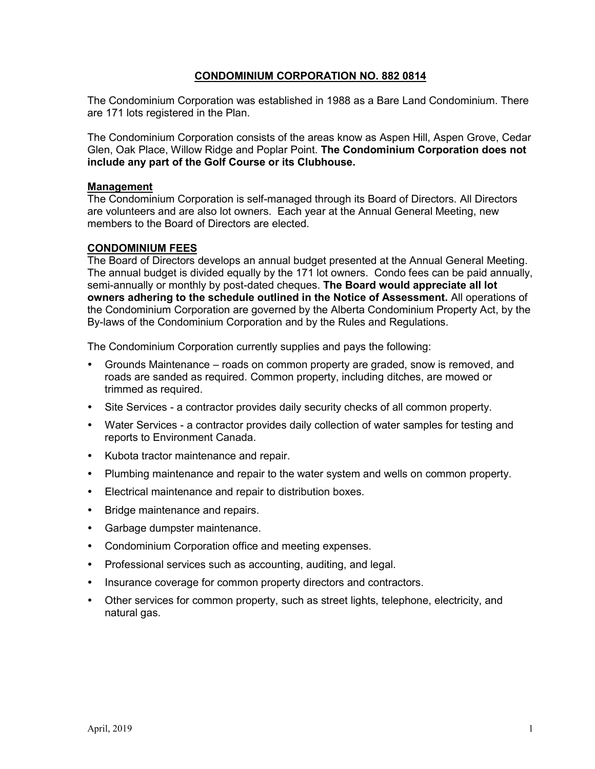## **CONDOMINIUM CORPORATION NO. 882 0814**

The Condominium Corporation was established in 1988 as a Bare Land Condominium. There are 171 lots registered in the Plan.

The Condominium Corporation consists of the areas know as Aspen Hill, Aspen Grove, Cedar Glen, Oak Place, Willow Ridge and Poplar Point. **The Condominium Corporation does not include any part of the Golf Course or its Clubhouse.**

#### **Management**

The Condominium Corporation is self-managed through its Board of Directors. All Directors are volunteers and are also lot owners. Each year at the Annual General Meeting, new members to the Board of Directors are elected.

#### **CONDOMINIUM FEES**

The Board of Directors develops an annual budget presented at the Annual General Meeting. The annual budget is divided equally by the 171 lot owners. Condo fees can be paid annually, semi-annually or monthly by post-dated cheques. **The Board would appreciate all lot owners adhering to the schedule outlined in the Notice of Assessment.** All operations of the Condominium Corporation are governed by the Alberta Condominium Property Act, by the By-laws of the Condominium Corporation and by the Rules and Regulations.

The Condominium Corporation currently supplies and pays the following:

- Grounds Maintenance roads on common property are graded, snow is removed, and roads are sanded as required. Common property, including ditches, are mowed or trimmed as required.
- Site Services a contractor provides daily security checks of all common property.
- Water Services a contractor provides daily collection of water samples for testing and reports to Environment Canada.
- Kubota tractor maintenance and repair.
- Plumbing maintenance and repair to the water system and wells on common property.
- Electrical maintenance and repair to distribution boxes.
- Bridge maintenance and repairs.
- Garbage dumpster maintenance.
- Condominium Corporation office and meeting expenses.
- Professional services such as accounting, auditing, and legal.
- Insurance coverage for common property directors and contractors.
- Other services for common property, such as street lights, telephone, electricity, and natural gas.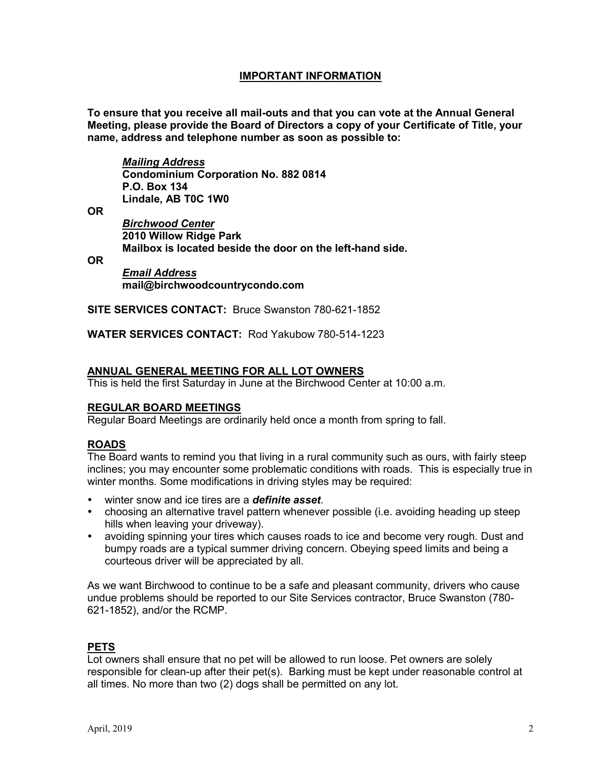# **IMPORTANT INFORMATION**

**To ensure that you receive all mail-outs and that you can vote at the Annual General Meeting, please provide the Board of Directors a copy of your Certificate of Title, your name, address and telephone number as soon as possible to:**

*Mailing Address* **Condominium Corporation No. 882 0814 P.O. Box 134 Lindale, AB T0C 1W0**

**OR**

*Birchwood Center*  **2010 Willow Ridge Park Mailbox is located beside the door on the left-hand side.**

**OR**

*Email Address* **mail@birchwoodcountrycondo.com**

**SITE SERVICES CONTACT:** Bruce Swanston 780-621-1852

**WATER SERVICES CONTACT:** Rod Yakubow 780-514-1223

## **ANNUAL GENERAL MEETING FOR ALL LOT OWNERS**

This is held the first Saturday in June at the Birchwood Center at 10:00 a.m.

### **REGULAR BOARD MEETINGS**

Regular Board Meetings are ordinarily held once a month from spring to fall.

#### **ROADS**

The Board wants to remind you that living in a rural community such as ours, with fairly steep inclines; you may encounter some problematic conditions with roads. This is especially true in winter months. Some modifications in driving styles may be required:

- winter snow and ice tires are a *definite asset*.
- choosing an alternative travel pattern whenever possible (i.e. avoiding heading up steep hills when leaving your driveway).
- avoiding spinning your tires which causes roads to ice and become very rough. Dust and bumpy roads are a typical summer driving concern. Obeying speed limits and being a courteous driver will be appreciated by all.

As we want Birchwood to continue to be a safe and pleasant community, drivers who cause undue problems should be reported to our Site Services contractor, Bruce Swanston (780- 621-1852), and/or the RCMP.

# **PETS**

Lot owners shall ensure that no pet will be allowed to run loose. Pet owners are solely responsible for clean-up after their pet(s). Barking must be kept under reasonable control at all times. No more than two (2) dogs shall be permitted on any lot.